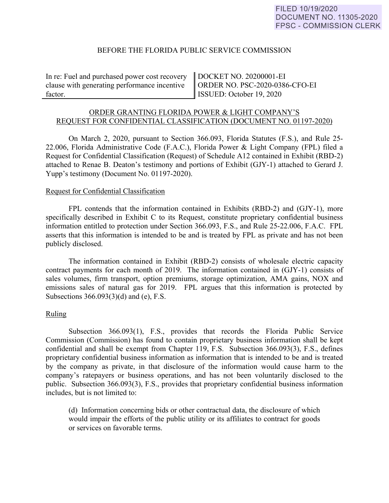### BEFORE THE FLORIDA PUBLIC SERVICE COMMISSION

In re: Fuel and purchased power cost recovery clause with generating performance incentive factor.

DOCKET NO. 20200001-EI ORDER NO. PSC-2020-0386-CFO-EI ISSUED: October 19, 2020

# ORDER GRANTING FLORIDA POWER & LIGHT COMPANY'S REQUEST FOR CONFIDENTIAL CLASSIFICATION (DOCUMENT NO. 01197-2020)

On March 2, 2020, pursuant to Section 366.093, Florida Statutes (F.S.), and Rule 25- 22.006, Florida Administrative Code (F.A.C.), Florida Power & Light Company (FPL) filed a Request for Confidential Classification (Request) of Schedule A12 contained in Exhibit (RBD-2) attached to Renae B. Deaton's testimony and portions of Exhibit (GJY-1) attached to Gerard J. Yupp's testimony (Document No. 01197-2020).

#### Request for Confidential Classification

 FPL contends that the information contained in Exhibits (RBD-2) and (GJY-1), more specifically described in Exhibit C to its Request, constitute proprietary confidential business information entitled to protection under Section 366.093, F.S., and Rule 25-22.006, F.A.C. FPL asserts that this information is intended to be and is treated by FPL as private and has not been publicly disclosed.

The information contained in Exhibit (RBD-2) consists of wholesale electric capacity contract payments for each month of 2019. The information contained in (GJY-1) consists of sales volumes, firm transport, option premiums, storage optimization, AMA gains, NOX and emissions sales of natural gas for 2019. FPL argues that this information is protected by Subsections 366.093(3)(d) and (e), F.S.

# Ruling

Subsection 366.093(1), F.S., provides that records the Florida Public Service Commission (Commission) has found to contain proprietary business information shall be kept confidential and shall be exempt from Chapter 119, F.S. Subsection 366.093(3), F.S., defines proprietary confidential business information as information that is intended to be and is treated by the company as private, in that disclosure of the information would cause harm to the company's ratepayers or business operations, and has not been voluntarily disclosed to the public. Subsection 366.093(3), F.S., provides that proprietary confidential business information includes, but is not limited to:

 (d) Information concerning bids or other contractual data, the disclosure of which would impair the efforts of the public utility or its affiliates to contract for goods or services on favorable terms.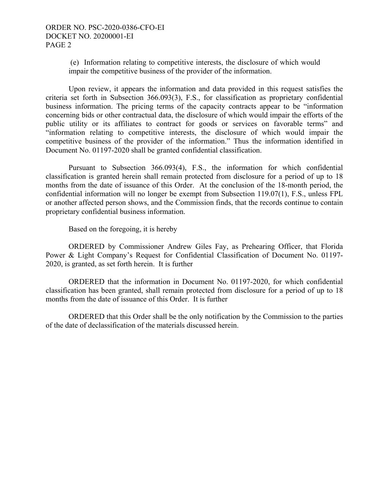(e) Information relating to competitive interests, the disclosure of which would impair the competitive business of the provider of the information.

Upon review, it appears the information and data provided in this request satisfies the criteria set forth in Subsection 366.093(3), F.S., for classification as proprietary confidential business information. The pricing terms of the capacity contracts appear to be "information concerning bids or other contractual data, the disclosure of which would impair the efforts of the public utility or its affiliates to contract for goods or services on favorable terms" and "information relating to competitive interests, the disclosure of which would impair the competitive business of the provider of the information." Thus the information identified in Document No. 01197-2020 shall be granted confidential classification.

Pursuant to Subsection 366.093(4), F.S., the information for which confidential classification is granted herein shall remain protected from disclosure for a period of up to 18 months from the date of issuance of this Order. At the conclusion of the 18-month period, the confidential information will no longer be exempt from Subsection 119.07(1), F.S., unless FPL or another affected person shows, and the Commission finds, that the records continue to contain proprietary confidential business information.

Based on the foregoing, it is hereby

 ORDERED by Commissioner Andrew Giles Fay, as Prehearing Officer, that Florida Power & Light Company's Request for Confidential Classification of Document No. 01197- 2020, is granted, as set forth herein. It is further

 ORDERED that the information in Document No. 01197-2020, for which confidential classification has been granted, shall remain protected from disclosure for a period of up to 18 months from the date of issuance of this Order. It is further

 ORDERED that this Order shall be the only notification by the Commission to the parties of the date of declassification of the materials discussed herein.